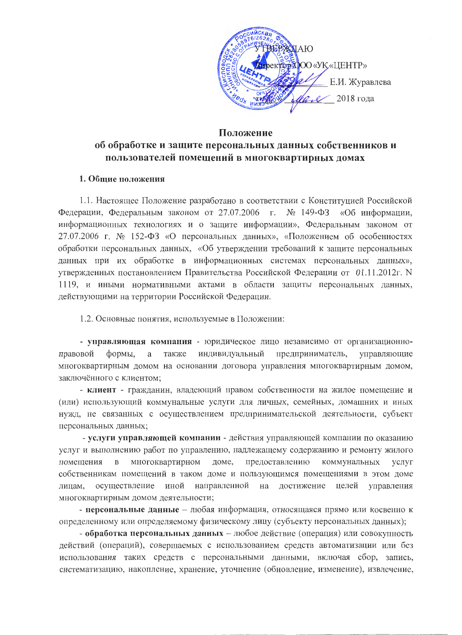

## Положение

# об обработке и защите персональных данных собственников и пользователей помещений в многоквартирных домах

### 1. Общие положения

1.1. Настоящее Положение разработано в соответствии с Конституцией Российской Федерации, Федеральным законом от 27.07.2006 г. № 149-ФЗ «Об информации, информационных технологиях и о защите информации», Федеральным законом от 27.07.2006 г. № 152-ФЗ «О персональных данных», «Положением об особенностях обработки персональных данных, «Об утверждении требований к защите персональных данных при их обработке в информационных системах персональных данных», утвержденных постановлением Правительства Российской Федерации от 01.11.2012г. N 1119, и иными нормативными актами в области защиты персональных данных, действующими на территории Российской Федерации.

1.2. Основные понятия, используемые в Положении:

- управляющая компания - юридическое лицо независимо от организационноправовой формы, a также индивидуальный предприниматель, управляющие многоквартирным домом на основании договора управления многоквартирным домом, заключённого с клиентом;

- клиент - гражданин, владеющий правом собственности на жилое помещение и (или) использующий коммунальные услуги для личных, семейных, домашних и иных нужд, не связанных с осуществлением предпринимательской деятельности, субъект персональных данных;

- услуги управляющей компании - действия управляющей компании по оказанию услуг и выполнению работ по управлению, надлежащему содержанию и ремонту жилого помещения  $\overline{B}$ многоквартирном доме, предоставлению коммунальных услуг собственникам помещений в таком доме и пользующимся помещениями в этом доме осуществление иной направленной на достижение целей управления лицам, многоквартирным домом деятельности;

- персональные данные - любая информация, относящаяся прямо или косвенно к определенному или определяемому физическому лицу (субъекту персональных данных);

- обработка персональных данных - любое действие (операция) или совокупность действий (операций), совершаемых с использованием средств автоматизации или без использования таких средств с персональными данными, включая сбор, запись, систематизацию, накопление, хранение, уточнение (обновление, изменение), извлечение,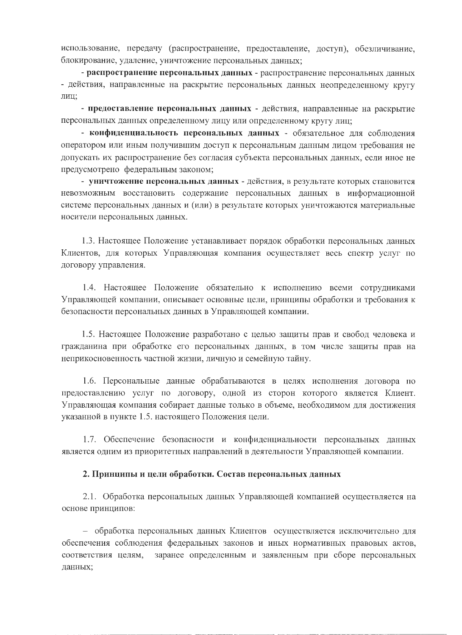использование, передачу (распространение, предоставление, доступ), обезличивание, блокирование, удаление, уничтожение персональных данных;

- распространение персональных данных - распространение персональных данных - действия, направленные на раскрытие персональных данных неопределенному кругу лиц;

- предоставление персональных данных - действия, направленные на раскрытие персональных данных определенному лицу или определенному кругу лиц;

- конфиденциальность персональных данных - обязательное для соблюдения оператором или иным получившим доступ к персональным данным лицом требования не допускать их распространение без согласия субъекта персональных данных, если иное не предусмотрено федеральным законом;

- уничтожение персональных данных - действия, в результате которых становится невозможным восстановить содержание персональных данных в информационной системе персональных данных и (или) в результате которых уничтожаются материальные носители персональных данных.

1.3. Настоящее Положение устанавливает порядок обработки персональных данных Клиентов, для которых Управляющая компания осуществляет весь спектр услуг по договору управления.

1.4. Настоящее Положение обязательно к исполнению всеми сотрудниками Управляющей компании, описывает основные цели, принципы обработки и требования к безопасности персональных данных в Управляющей компании.

1.5. Настоящее Положение разработано с целью защиты прав и свобод человека и гражданина при обработке его персональных данных, в том числе защиты прав на неприкосновенность частной жизни, личную и семейную тайну.

1.6. Персональные данные обрабатываются в целях исполнения договора по предоставлению услуг по договору, одной из сторон которого является Клиент. Управляющая компания собирает данные только в объеме, необходимом для достижения указанной в пункте 1.5. настоящего Положения цели.

1.7. Обеспечение безопасности и конфиденциальности персональных данных является одним из приоритетных направлений в деятельности Управляющей компании.

### 2. Принципы и цели обработки. Состав персональных данных

2.1. Обработка персональных данных Управляющей компанией осуществляется на основе принципов:

- обработка персональных данных Клиентов осуществляется исключительно для обеспечения соблюдения федеральных законов и иных нормативных правовых актов, соответствия целям, заранее определенным и заявленным при сборе персональных данных;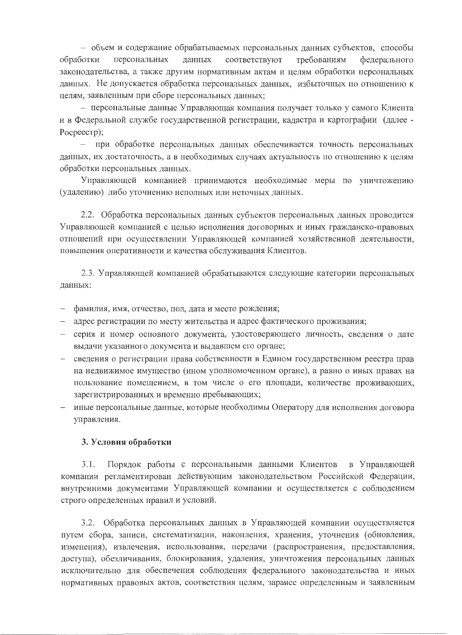– объем и содержание обрабатываемых персональных данных субъектов, способы обработки персональных данных соответствуют требованиям федерального законодательства, а также другим нормативным актам и целям обработки персональных данных. Не допускается обработка персональных данных, избыточных по отношению к целям, заявленным при сборе персональных данных;

- персональные данные Управляющая компания получает только у самого Клиента и в Федеральной службе государственной регистрации, кадастра и картографии (далее -Pocpeecrp);

- при обработке персональных данных обеспечивается точность персональных данных, их достаточность, а в необходимых случаях актуальность по отношению к целям обработки персональных данных.

Управляющей компанией принимаются необходимые меры по уничтожению (удалению) либо уточнению неполных или неточных данных.

2.2. Обработка персональных данных субъектов персональных данных проводится Управляющей компанией с целью исполнения договорных и иных гражданско-правовых отношений при осуществлении Управляющей компанией хозяйственной деятельности, повышения оперативности и качества обслуживания Клиентов.

2.3. Управляющей компанией обрабатываются следующие категории персональных данных:

- фамилия, имя, отчество, пол, дата и место рождения;
- адрес регистрации по месту жительства и адрес фактического проживания;
- серия и номер основного документа, удостоверяющего личность, сведения о дате выдачи указанного документа и выдавшем его органе;
- сведения о регистрации права собственности в Едином государственном реестра прав на недвижимое имущество (ином уполномоченном органе), а равно о иных правах на пользование помещением, в том числе о его площади, количестве проживающих, зарегистрированных и временно пребывающих;
- иные персональные данные, которые необходимы Оператору для исполнения договора управления.

### 3. Условия обработки

Порядок работы с персональными данными Клиентов в Управляющей  $3.1.$ компании регламентирован действующим законодательством Российской Федерации, внутренними документами Управляющей компании и осуществляется с соблюдением строго определенных правил и условий.

3.2. Обработка персональных данных в Управляющей компании осуществляется путем сбора, записи, систематизации, накопления, хранения, уточнения (обновления, изменения), извлечения, использования, передачи (распространения, предоставления, доступа), обезличивания, блокирования, удаления, уничтожения персональных данных исключительно для обеспечения соблюдения федерального законодательства и иных нормативных правовых актов, соответствия целям, заранее определенным и заявленным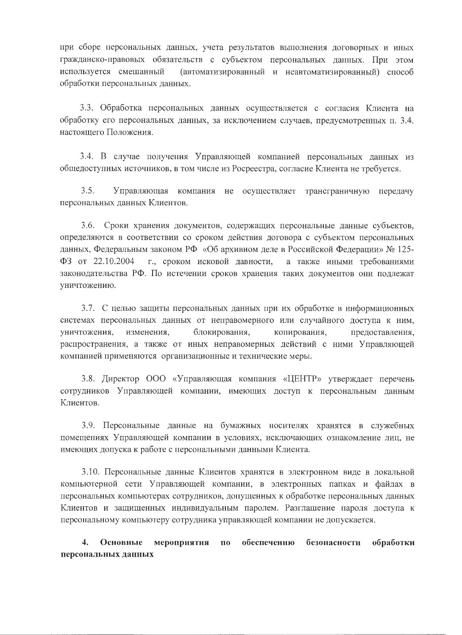при сборе персональных данных, учета результатов выполнения договорных и иных гражданско-правовых обязательств с субъектом персональных данных. При этом используется смешанный (автоматизированный и неавтоматизированный) способ обработки персональных данных.

3.3. Обработка персональных данных осуществляется с согласия Клиента на обработку его персональных данных, за исключением случаев, предусмотренных п. 3.4. настоящего Положения.

3.4. В случае получения Управляющей компанией персональных данных из общедоступных источников, в том числе из Росреестра, согласие Клиента не требуется.

 $3.5.$ Управляющая компания не осуществляет трансграничную передачу персональных данных Клиентов.

Сроки хранения документов, содержащих персональные данные субъектов, 3.6. определяются в соответствии со сроком действия договора с субъектом персональных данных, Федеральным законом РФ «Об архивном деле в Российской Федерации» № 125- $\Phi$ 3 or 22.10.2004 г., сроком исковой давности, а также иными требованиями законодательства РФ. По истечении сроков хранения таких документов они подлежат уничтожению.

3.7. С целью защиты персональных данных при их обработке в информационных системах персональных данных от неправомерного или случайного доступа к ним, уничтожения, изменения, блокирования, копирования, предоставления, распространения, а также от иных неправомерных действий с ними Управляющей компанией применяются организационные и технические меры.

3.8. Директор ООО «Управляющая компания «ЦЕНТР» утверждает перечень сотрудников Управляющей компании, имеющих доступ к персональным данным Клиентов.

3.9. Персональные данные на бумажных носителях хранятся в служебных помещениях Управляющей компании в условиях, исключающих ознакомление лиц, не имеющих допуска к работе с персональными данными Клиента.

3.10. Персональные данные Клиентов хранятся в электронном виде в локальной компьютерной сети Управляющей компании, в электронных папках и файлах в персональных компьютерах сотрудников, допущенных к обработке персональных данных Клиентов и защищенных индивидуальным паролем. Разглашение пароля доступа к персональному компьютеру сотрудника управляющей компании не допускается.

 $\overline{4}$ . Основные мероприятия  $\mathbf{n}\mathbf{o}$ обеспечению безопасности обработки персональных данных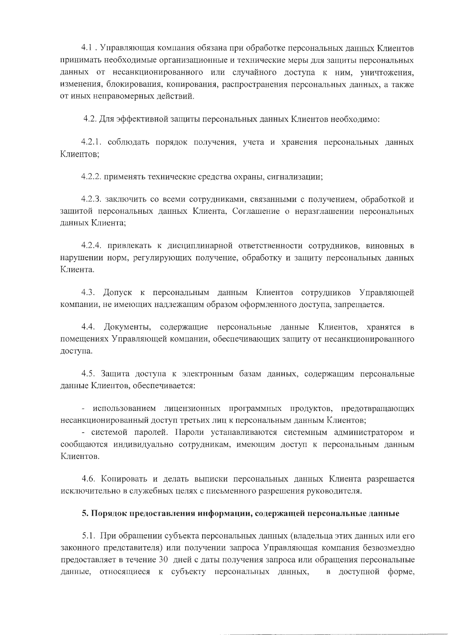4.1. Управляющая компания обязана при обработке персональных данных Клиентов принимать необходимые организационные и технические меры для защиты персональных данных от несанкционированного или случайного доступа к ним, уничтожения, изменения, блокирования, копирования, распространения персональных данных, а также от иных неправомерных действий.

4.2. Для эффективной защиты персональных данных Клиентов необходимо:

4.2.1. соблюдать порядок получения, учета и хранения персональных данных Клиентов:

4.2.2. применять технические средства охраны, сигнализации;

4.2.3. заключить со всеми сотрудниками, связанными с получением, обработкой и защитой персональных данных Клиента, Соглашение о неразглашении персональных данных Клиента;

4.2.4. привлекать к дисциплинарной ответственности сотрудников, виновных в нарушении норм, регулирующих получение, обработку и защиту персональных данных Клиента.

4.3. Допуск к персональным данным Клиентов сотрудников Управляющей компании, не имеющих надлежащим образом оформленного доступа, запрещается.

4.4. Документы, содержащие персональные данные Клиентов, хранятся в помещениях Управляющей компании, обеспечивающих защиту от несанкционированного доступа.

4.5. Защита доступа к электронным базам данных, содержащим персональные данные Клиентов, обеспечивается:

- использованием лицензионных программных продуктов, предотвращающих несанкционированный доступ третьих лиц к персональным данным Клиентов;

- системой паролей. Пароли устанавливаются системным администратором и сообщаются индивидуально сотрудникам, имеющим доступ к персональным данным Клиентов.

4.6. Копировать и делать выписки персональных данных Клиента разрешается исключительно в служебных целях с письменного разрешения руководителя.

### 5. Порядок предоставления информации, содержащей персональные данные

5.1. При обращении субъекта персональных данных (владельца этих данных или его законного представителя) или получении запроса Управляющая компания безвозмездно предоставляет в течение 30 дней с даты получения запроса или обращения персональные данные, относящиеся к субъекту персональных данных, в доступной форме,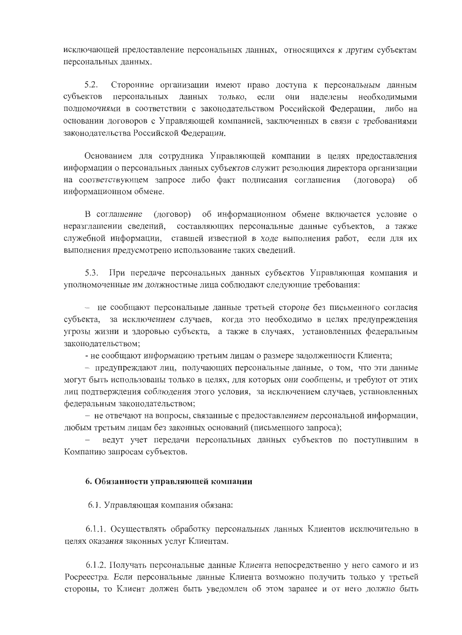исключающей предоставление персональных данных, относящихся к другим субъектам персональных данных.

 $5.2.$ Сторонние организации имеют право доступа к персональным данным субъектов персональных данных только, если они налелены необходимыми полномочиями в соответствии с законодательством Российской Федерации, либо на основании договоров с Управляющей компанией, заключенных в связи с требованиями законодательства Российской Федерации.

Основанием для сотрудника Управляющей компании в целях предоставления информации о персональных данных субъектов служит резолюция директора организации на соответствующем запросе либо факт подписания соглашения (договора)  $\alpha$ информационном обмене.

(договор) об информационном обмене включается условие о В соглашение неразглашении сведений, составляющих персональные данные субъектов, а также служебной информации, ставшей известной в ходе выполнения работ, если для их выполнения предусмотрено использование таких сведений.

При передаче персональных данных субъектов Управляющая компания и 5.3. уполномоченные им должностные лица соблюдают следующие требования:

- не сообщают персональные данные третьей стороне без письменного согласия субъекта, за исключением случаев, когда это необходимо в целях предупреждения угрозы жизни и здоровью субъекта, а также в случаях, установленных федеральным законодательством;

- не сообщают информацию третьим лицам о размере задолженности Клиента;

- предупреждают лиц, получающих персональные данные, о том, что эти данные могут быть использованы только в целях, для которых они сообщены, и требуют от этих лиц подтверждения соблюдения этого условия, за исключением случаев, установленных федеральным законодательством;

- не отвечают на вопросы, связанные с предоставлением персональной информации, любым третьим лицам без законных оснований (письменного запроса);

ведут учет передачи персональных данных субъектов по поступившим в Компанию запросам субъектов.

### 6. Обязанности управляющей компании

6.1. Управляющая компания обязана:

6.1.1. Осуществлять обработку персональных данных Клиентов исключительно в целях оказания законных услуг Клиентам.

6.1.2. Получать персональные данные Клиента непосредственно у него самого и из Росреестра. Если персональные данные Клиента возможно получить только у третьей стороны, то Клиент должен быть уведомлен об этом заранее и от него должно быть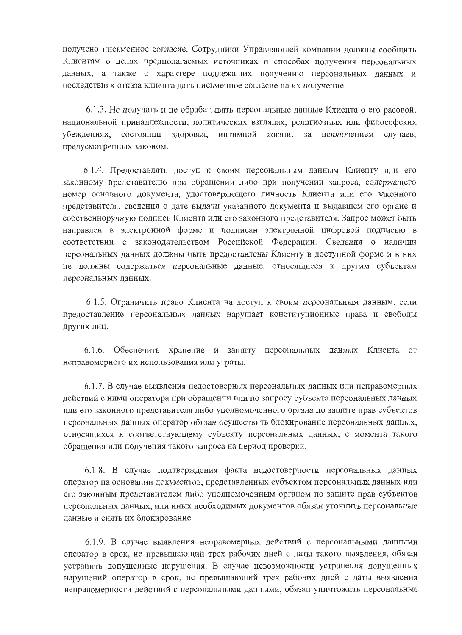получено письменное согласие. Сотрудники Управляющей компании должны сообщить Клиентам о целях предполагаемых источниках и способах получения персональных данных, а также о характере подлежащих получению персональных данных и последствиях отказа клиента дать письменное согласие на их получение.

6.1.3. Не получать и не обрабатывать персональные данные Клиента о его расовой, национальной принадлежности, политических взглядах, религиозных или философских интимной жизни, за убеждениях, состоянии здоровья, исключением случаев. предусмотренных законом.

6.1.4. Предоставлять доступ к своим персональным данным Клиенту или его законному представителю при обращении либо при получении запроса, содержащего номер основного документа, удостоверяющего личность Клиента или его законного представителя, сведения о дате выдачи указанного документа и выдавшем его органе и собственноручную подпись Клиента или его законного представителя. Запрос может быть направлен в электронной форме и подписан электронной цифровой подписью в соответствии с законодательством Российской Федерации. Сведения о наличии персональных данных должны быть предоставлены Клиенту в доступной форме и в них не должны содержаться персональные данные, относящиеся к другим субъектам персональных данных.

6.1.5. Ограничить право Клиента на доступ к своим персональным данным, если предоставление персональных данных нарушает конституционные права и свободы других лиц.

6.1.6. Обеспечить хранение и защиту персональных данных Клиента от неправомерного их использования или утраты.

6.1.7. В случае выявления недостоверных персональных данных или неправомерных действий с ними оператора при обращении или по запросу субъекта персональных данных или его законного представителя либо уполномоченного органа по защите прав субъектов персональных данных оператор обязан осуществить блокирование персональных данных, относящихся к соответствующему субъекту персональных данных, с момента такого обращения или получения такого запроса на период проверки.

6.1.8. В случае подтверждения факта недостоверности персональных данных оператор на основании документов, представленных субъектом персональных данных или его законным представителем либо уполномоченным органом по защите прав субъектов персональных данных, или иных необходимых документов обязан уточнить персональные данные и снять их блокирование.

6.1.9. В случае выявления неправомерных действий с персональными данными оператор в срок, не превышающий трех рабочих дней с даты такого выявления, обязан устранить допущенные нарушения. В случае невозможности устранения допущенных нарушений оператор в срок, не превышающий трех рабочих дней с даты выявления неправомерности действий с персональными данными, обязан уничтожить персональные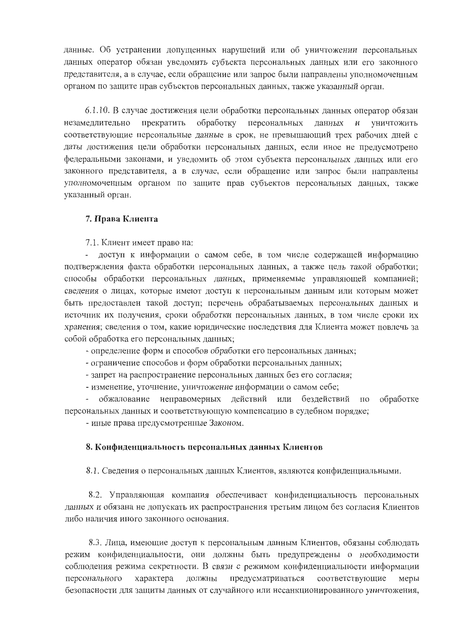данные. Об устранении допущенных нарушений или об уничтожении персональных данных оператор обязан уведомить субъекта персональных данных или его законного представителя, а в случае, если обращение или запрос были направлены уполномоченным органом по защите прав субъектов персональных данных, также указанный орган.

6.1.10. В случае достижения цели обработки персональных данных оператор обязан незамедлительно прекратить обработку персональных ланных  $\,$  H уничтожить соответствующие персональные данные в срок, не превышающий трех рабочих дней с даты достижения цели обработки персональных данных, если иное не предусмотрено федеральными законами, и уведомить об этом субъекта персональных данных или его законного представителя, а в случае, если обращение или запрос были направлены уполномоченным органом по защите прав субъектов персональных данных, также указанный орган.

### 7. Права Клиента

7.1. Клиент имеет право на:

доступ к информации о самом себе, в том числе содержащей информацию подтверждения факта обработки персональных данных, а также цель такой обработки; способы обработки персональных данных, применяемые управляющей компанией; сведения о лицах, которые имеют доступ к персональным данным или которым может быть предоставлен такой доступ; перечень обрабатываемых персональных данных и источник их получения, сроки обработки персональных данных, в том числе сроки их хранения: сведения о том, какие юридические последствия для Клиента может повлечь за собой обработка его персональных данных;

- определение форм и способов обработки его персональных данных;

- ограничение способов и форм обработки персональных данных;

- запрет на распространение персональных данных без его согласия;

- изменение, уточнение, уничтожение информации о самом себе;

обжалование неправомерных действий или бездействий по обработке персональных данных и соответствующую компенсацию в судебном порядке;

- иные права предусмотренные Законом.

#### 8. Конфиденциальность персональных данных Клиентов

8.1. Сведения о персональных данных Клиентов, являются конфиденциальными.

8.2. Управляющая компания обеспечивает конфиденциальность персональных данных и обязана не допускать их распространения третьим лицом без согласия Клиентов либо наличия иного законного основания.

8.3. Лица, имеющие доступ к персональным данным Клиентов, обязаны соблюдать режим конфиденциальности, они должны быть предупреждены о необходимости соблюдения режима секретности. В связи с режимом конфиденциальности информации персонального характера должны предусматриваться соответствующие меры безопасности для защиты данных от случайного или несанкционированного уничтожения,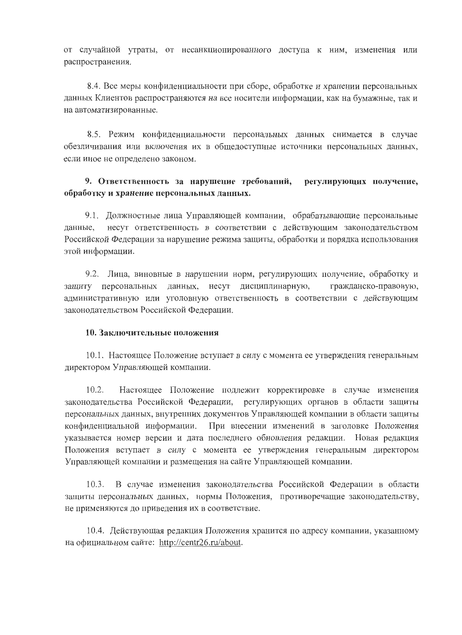от случайной утраты, от несанкционированного доступа к ним, изменения или распространения.

8.4. Все меры конфиденциальности при сборе, обработке и хранении персональных данных Клиентов распространяются на все носители информации, как на бумажные, так и на автоматизированные.

8.5. Режим конфиденциальности персональных данных снимается в случае обезличивания или включения их в общедоступные источники персональных данных, если иное не определено законом.

#### регулирующих получение, 9. Ответственность за нарушение требований, обработку и хранение персональных данных.

9.1. Должностные лица Управляющей компании, обрабатывающие персональные несут ответственность в соответствии с действующим законодательством данные, Российской Федерации за нарушение режима защиты, обработки и порядка использования этой информации.

9.2. Лица, виновные в нарушении норм, регулирующих получение, обработку и защиту персональных данных, несут дисциплинарную, гражданско-правовую, административную или уголовную ответственность в соответствии с действующим законодательством Российской Федерации.

### 10. Заключительные положения

10.1. Настоящее Положение вступает в силу с момента ее утверждения генеральным директором Управляющей компании.

 $10.2.$ Настоящее Положение подлежит корректировке в случае изменения законодательства Российской Федерации, регулирующих органов в области защиты персональных данных, внутренних документов Управляющей компании в области защиты При внесении изменений в заголовке Положения конфиденциальной информации. указывается номер версии и дата последнего обновления редакции. Новая редакция Положения вступает в силу с момента ее утверждения генеральным директором Управляющей компании и размещения на сайте Управляющей компании.

В случае изменения законодательства Российской Федерации в области  $10.3.$ защиты персональных данных, нормы Положения, противоречащие законодательству, не применяются до приведения их в соответствие.

10.4. Действующая редакция Положения хранится по адресу компании, указанному на официальном сайте: http://centr26.ru/about.